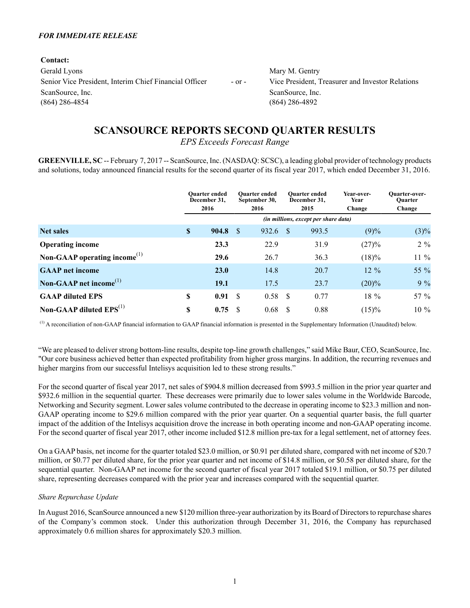#### *FOR IMMEDIATE RELEASE*

**Contact:** Gerald Lyons Mary M. Gentry Senior Vice President, Interim Chief Financial Officer - or - Vice President, Treasurer and Investor Relations ScanSource, Inc. ScanSource, Inc. ScanSource, Inc. (864) 286-4854 (864) 286-4892

# **SCANSOURCE REPORTS SECOND QUARTER RESULTS**

*EPS Exceeds Forecast Range*

**GREENVILLE, SC** -- February 7, 2017 -- ScanSource, Inc. (NASDAQ: SCSC), a leading global provider of technology products and solutions, today announced financial results for the second quarter of its fiscal year 2017, which ended December 31, 2016.

|                                                       | <b>Ouarter ended</b><br>December 31,<br>2016 |               | <b>Ouarter ended</b><br>September 30,<br>2016 | <b>Ouarter</b> ended<br>December 31,<br>2015 |                                             | <b>Year-over-</b><br>Year<br>Change | <b>Ouarter-over-</b><br><b>Ouarter</b><br>Change |
|-------------------------------------------------------|----------------------------------------------|---------------|-----------------------------------------------|----------------------------------------------|---------------------------------------------|-------------------------------------|--------------------------------------------------|
|                                                       |                                              |               |                                               |                                              | <i>(in millions, except per share data)</i> |                                     |                                                  |
| <b>Net sales</b>                                      | \$<br>904.8                                  | - \$          | 932.6                                         | -S                                           | 993.5                                       | (9)%                                | $(3)\%$                                          |
| <b>Operating income</b>                               | 23.3                                         |               | 22.9                                          |                                              | 31.9                                        | (27)%                               | $2\%$                                            |
| Non-GAAP operating income <sup><math>(1)</math></sup> | 29.6                                         |               | 26.7                                          |                                              | 36.3                                        | $(18)\%$                            | 11 %                                             |
| <b>GAAP</b> net income                                | <b>23.0</b>                                  |               | 14.8                                          |                                              | 20.7                                        | $12\%$                              | 55 %                                             |
| Non-GAAP net income <sup>(1)</sup>                    | 19.1                                         |               | 17.5                                          |                                              | 23.7                                        | $(20)\%$                            | $9\%$                                            |
| <b>GAAP diluted EPS</b>                               | \$<br>0.91                                   | <sup>\$</sup> | 0.58                                          | -\$                                          | 0.77                                        | 18 %                                | 57 %                                             |
| Non-GAAP diluted $EPS^{(1)}$                          | \$<br>0.75                                   | \$.           | 0.68                                          | <b>S</b>                                     | 0.88                                        | (15)%                               | 10 %                                             |

(1) A reconciliation of non-GAAP financial information to GAAP financial information is presented in the Supplementary Information (Unaudited) below.

"We are pleased to deliver strong bottom-line results, despite top-line growth challenges," said Mike Baur, CEO, ScanSource, Inc. "Our core business achieved better than expected profitability from higher gross margins. In addition, the recurring revenues and higher margins from our successful Intelisys acquisition led to these strong results."

For the second quarter of fiscal year 2017, net sales of \$904.8 million decreased from \$993.5 million in the prior year quarter and \$932.6 million in the sequential quarter. These decreases were primarily due to lower sales volume in the Worldwide Barcode, Networking and Security segment. Lower sales volume contributed to the decrease in operating income to \$23.3 million and non-GAAP operating income to \$29.6 million compared with the prior year quarter. On a sequential quarter basis, the full quarter impact of the addition of the Intelisys acquisition drove the increase in both operating income and non-GAAPoperating income. For the second quarter of fiscal year 2017, other income included \$12.8 million pre-tax for a legal settlement, net of attorney fees.

On a GAAPbasis, net income for the quarter totaled \$23.0 million, or \$0.91 per diluted share, compared with net income of \$20.7 million, or \$0.77 per diluted share, for the prior year quarter and net income of \$14.8 million, or \$0.58 per diluted share, for the sequential quarter. Non-GAAP net income for the second quarter of fiscal year 2017 totaled \$19.1 million, or \$0.75 per diluted share, representing decreases compared with the prior year and increases compared with the sequential quarter.

#### *Share Repurchase Update*

In August 2016, ScanSource announced a new \$120 million three-year authorization by its Board of Directors to repurchase shares of the Company's common stock. Under this authorization through December 31, 2016, the Company has repurchased approximately 0.6 million shares for approximately \$20.3 million.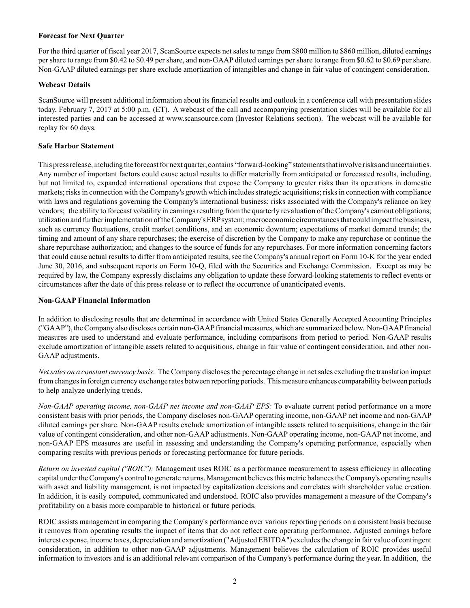### **Forecast for Next Quarter**

For the third quarter of fiscal year 2017, ScanSource expects net sales to range from \$800 million to \$860 million, diluted earnings per share to range from \$0.42 to \$0.49 per share, and non-GAAPdiluted earnings per share to range from \$0.62 to \$0.69 per share. Non-GAAP diluted earnings per share exclude amortization of intangibles and change in fair value of contingent consideration.

### **Webcast Details**

ScanSource will present additional information about its financial results and outlook in a conference call with presentation slides today, February 7, 2017 at 5:00 p.m. (ET). A webcast of the call and accompanying presentation slides will be available for all interested parties and can be accessed at www.scansource.com (Investor Relations section). The webcast will be available for replay for 60 days.

### **Safe Harbor Statement**

This press release, including the forecast for next quarter, contains "forward-looking" statements that involve risks and uncertainties. Any number of important factors could cause actual results to differ materially from anticipated or forecasted results, including, but not limited to, expanded international operations that expose the Company to greater risks than its operations in domestic markets; risks in connection with the Company's growth which includes strategic acquisitions; risks in connection with compliance with laws and regulations governing the Company's international business; risks associated with the Company's reliance on key vendors; the ability to forecast volatility in earnings resulting from the quarterly revaluation of the Company's earnout obligations; utilization and further implementation of the Company's ERPsystem; macroeconomic circumstances that could impact the business, such as currency fluctuations, credit market conditions, and an economic downturn; expectations of market demand trends; the timing and amount of any share repurchases; the exercise of discretion by the Company to make any repurchase or continue the share repurchase authorization; and changes to the source of funds for any repurchases. For more information concerning factors that could cause actual results to differ from anticipated results, see the Company's annual report on Form 10-K for the year ended June 30, 2016, and subsequent reports on Form 10-Q, filed with the Securities and Exchange Commission. Except as may be required by law, the Company expressly disclaims any obligation to update these forward-looking statements to reflect events or circumstances after the date of this press release or to reflect the occurrence of unanticipated events.

#### **Non-GAAP Financial Information**

In addition to disclosing results that are determined in accordance with United States Generally Accepted Accounting Principles ("GAAP"), the Company also discloses certain non-GAAPfinancial measures, which are summarized below. Non-GAAPfinancial measures are used to understand and evaluate performance, including comparisons from period to period. Non-GAAP results exclude amortization of intangible assets related to acquisitions, change in fair value of contingent consideration, and other non-GAAP adjustments.

*Net sales on a constant currency basis*: The Company discloses the percentage change in net sales excluding the translation impact from changes in foreign currency exchange rates between reporting periods. This measure enhances comparability between periods to help analyze underlying trends.

*Non-GAAP operating income, non-GAAP net income and non-GAAP EPS:* To evaluate current period performance on a more consistent basis with prior periods, the Company discloses non-GAAP operating income, non-GAAP net income and non-GAAP diluted earnings per share. Non-GAAPresults exclude amortization of intangible assets related to acquisitions, change in the fair value of contingent consideration, and other non-GAAP adjustments. Non-GAAP operating income, non-GAAP net income, and non-GAAP EPS measures are useful in assessing and understanding the Company's operating performance, especially when comparing results with previous periods or forecasting performance for future periods.

*Return on invested capital ("ROIC"):* Management uses ROIC as a performance measurement to assess efficiency in allocating capital under the Company's control to generate returns. Management believes this metric balances the Company's operating results with asset and liability management, is not impacted by capitalization decisions and correlates with shareholder value creation. In addition, it is easily computed, communicated and understood. ROIC also provides management a measure of the Company's profitability on a basis more comparable to historical or future periods.

ROIC assists management in comparing the Company's performance over various reporting periods on a consistent basis because it removes from operating results the impact of items that do not reflect core operating performance. Adjusted earnings before interest expense, income taxes, depreciation and amortization ("Adjusted EBITDA") excludes the change in fair value of contingent consideration, in addition to other non-GAAP adjustments. Management believes the calculation of ROIC provides useful information to investors and is an additional relevant comparison of the Company's performance during the year. In addition, the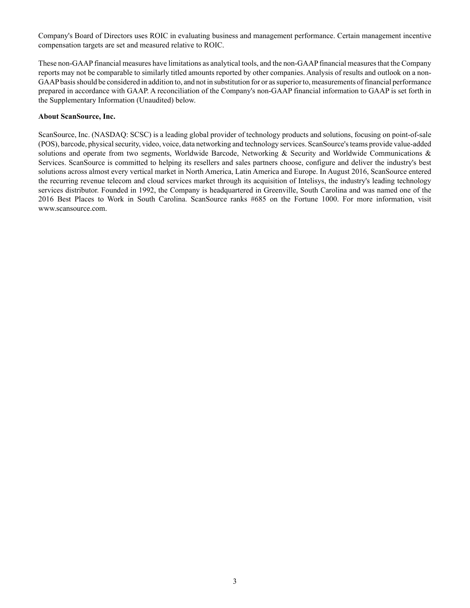Company's Board of Directors uses ROIC in evaluating business and management performance. Certain management incentive compensation targets are set and measured relative to ROIC.

These non-GAAPfinancial measures have limitations as analytical tools, and the non-GAAPfinancial measures that the Company reports may not be comparable to similarly titled amounts reported by other companies. Analysis of results and outlook on a non-GAAPbasis should be considered in addition to, and not in substitution for or as superior to, measurements of financial performance prepared in accordance with GAAP. A reconciliation of the Company's non-GAAP financial information to GAAP is set forth in the Supplementary Information (Unaudited) below.

#### **About ScanSource, Inc.**

ScanSource, Inc. (NASDAQ: SCSC) is a leading global provider of technology products and solutions, focusing on point-of-sale (POS), barcode, physical security, video, voice, data networking and technology services. ScanSource's teams provide value-added solutions and operate from two segments, Worldwide Barcode, Networking & Security and Worldwide Communications & Services. ScanSource is committed to helping its resellers and sales partners choose, configure and deliver the industry's best solutions across almost every vertical market in North America, Latin America and Europe. In August 2016, ScanSource entered the recurring revenue telecom and cloud services market through its acquisition of Intelisys, the industry's leading technology services distributor. Founded in 1992, the Company is headquartered in Greenville, South Carolina and was named one of the 2016 Best Places to Work in South Carolina. ScanSource ranks #685 on the Fortune 1000. For more information, visit www.scansource.com.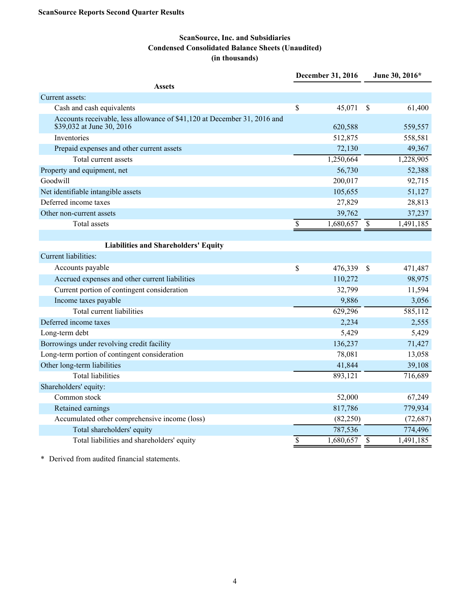# **ScanSource, Inc. and Subsidiaries Condensed Consolidated Balance Sheets (Unaudited) (in thousands)**

|                                                                                                       |                 | December 31, 2016         |                          | June 30, 2016* |
|-------------------------------------------------------------------------------------------------------|-----------------|---------------------------|--------------------------|----------------|
| <b>Assets</b>                                                                                         |                 |                           |                          |                |
| Current assets:                                                                                       |                 |                           |                          |                |
| Cash and cash equivalents                                                                             | \$              | 45,071                    | $\mathcal{S}$            | 61,400         |
| Accounts receivable, less allowance of \$41,120 at December 31, 2016 and<br>\$39,032 at June 30, 2016 |                 | 620,588                   |                          | 559,557        |
| Inventories                                                                                           |                 | 512,875                   |                          | 558,581        |
| Prepaid expenses and other current assets                                                             |                 | 72,130                    |                          | 49,367         |
| Total current assets                                                                                  |                 | 1,250,664                 |                          | 1,228,905      |
| Property and equipment, net                                                                           |                 | 56,730                    |                          | 52,388         |
| Goodwill                                                                                              |                 | 200,017                   |                          | 92,715         |
| Net identifiable intangible assets                                                                    |                 | 105,655                   |                          | 51,127         |
| Deferred income taxes                                                                                 |                 | 27,829                    |                          | 28,813         |
| Other non-current assets                                                                              |                 | 39,762                    |                          | 37,237         |
| Total assets                                                                                          | \$              | $\overline{1,680,657}$ \$ |                          | 1,491,185      |
|                                                                                                       |                 |                           |                          |                |
| <b>Liabilities and Shareholders' Equity</b>                                                           |                 |                           |                          |                |
| Current liabilities:                                                                                  |                 |                           |                          |                |
| Accounts payable                                                                                      | \$              | 476,339                   | $\mathcal{S}$            | 471,487        |
| Accrued expenses and other current liabilities                                                        |                 | 110,272                   |                          | 98,975         |
| Current portion of contingent consideration                                                           |                 | 32,799                    |                          | 11,594         |
| Income taxes payable                                                                                  |                 | 9,886                     |                          | 3,056          |
| Total current liabilities                                                                             |                 | 629,296                   |                          | 585,112        |
| Deferred income taxes                                                                                 |                 | 2,234                     |                          | 2,555          |
| Long-term debt                                                                                        |                 | 5,429                     |                          | 5,429          |
| Borrowings under revolving credit facility                                                            |                 | 136,237                   |                          | 71,427         |
| Long-term portion of contingent consideration                                                         |                 | 78,081                    |                          | 13,058         |
| Other long-term liabilities                                                                           |                 | 41,844                    |                          | 39,108         |
| <b>Total liabilities</b>                                                                              |                 | 893,121                   |                          | 716,689        |
| Shareholders' equity:                                                                                 |                 |                           |                          |                |
| Common stock                                                                                          |                 | 52,000                    |                          | 67,249         |
| Retained earnings                                                                                     |                 | 817,786                   |                          | 779,934        |
| Accumulated other comprehensive income (loss)                                                         |                 | (82, 250)                 |                          | (72, 687)      |
| Total shareholders' equity                                                                            |                 | 787,536                   |                          | 774,496        |
| Total liabilities and shareholders' equity                                                            | $\overline{\$}$ | 1,680,657                 | $\overline{\mathcal{S}}$ | 1,491,185      |

\* Derived from audited financial statements.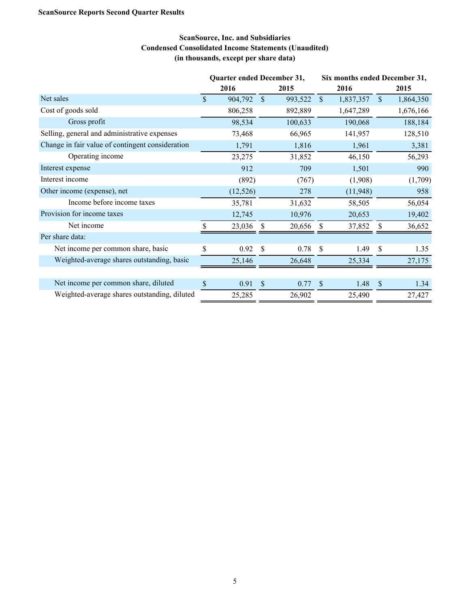# **ScanSource, Inc. and Subsidiaries Condensed Consolidated Income Statements (Unaudited) (in thousands, except per share data)**

|                                                  | Quarter ended December 31, |           |               |         | Six months ended December 31, |           |              |           |  |
|--------------------------------------------------|----------------------------|-----------|---------------|---------|-------------------------------|-----------|--------------|-----------|--|
|                                                  |                            | 2016      |               | 2015    |                               | 2016      |              | 2015      |  |
| Net sales                                        | $\mathcal{S}$              | 904,792   | <sup>S</sup>  | 993,522 | $\mathbb{S}$                  | 1,837,357 | $\mathbb{S}$ | 1,864,350 |  |
| Cost of goods sold                               |                            | 806,258   |               | 892,889 |                               | 1,647,289 |              | 1,676,166 |  |
| Gross profit                                     |                            | 98,534    |               | 100,633 |                               | 190,068   |              | 188,184   |  |
| Selling, general and administrative expenses     |                            | 73,468    |               | 66,965  |                               | 141,957   |              | 128,510   |  |
| Change in fair value of contingent consideration |                            | 1,791     |               | 1,816   |                               | 1,961     |              | 3,381     |  |
| Operating income                                 |                            | 23,275    |               | 31,852  |                               | 46,150    |              | 56,293    |  |
| Interest expense                                 |                            | 912       |               | 709     |                               | 1,501     |              | 990       |  |
| Interest income                                  |                            | (892)     |               | (767)   |                               | (1,908)   |              | (1,709)   |  |
| Other income (expense), net                      |                            | (12, 526) |               | 278     |                               | (11,948)  |              | 958       |  |
| Income before income taxes                       |                            | 35,781    |               | 31,632  |                               | 58,505    |              | 56,054    |  |
| Provision for income taxes                       |                            | 12,745    |               | 10,976  |                               | 20,653    |              | 19,402    |  |
| Net income                                       |                            | 23,036    | <b>S</b>      | 20,656  | -\$                           | 37,852    | \$           | 36,652    |  |
| Per share data:                                  |                            |           |               |         |                               |           |              |           |  |
| Net income per common share, basic               | \$                         | 0.92      | <sup>\$</sup> | 0.78    | -S                            | 1.49      | \$           | 1.35      |  |
| Weighted-average shares outstanding, basic       |                            | 25,146    |               | 26,648  |                               | 25,334    |              | 27,175    |  |
|                                                  |                            |           |               |         |                               |           |              |           |  |
| Net income per common share, diluted             | \$                         | 0.91      | $\mathcal{S}$ | 0.77    | -\$                           | 1.48      | \$           | 1.34      |  |
| Weighted-average shares outstanding, diluted     |                            | 25,285    |               | 26,902  |                               | 25,490    |              | 27,427    |  |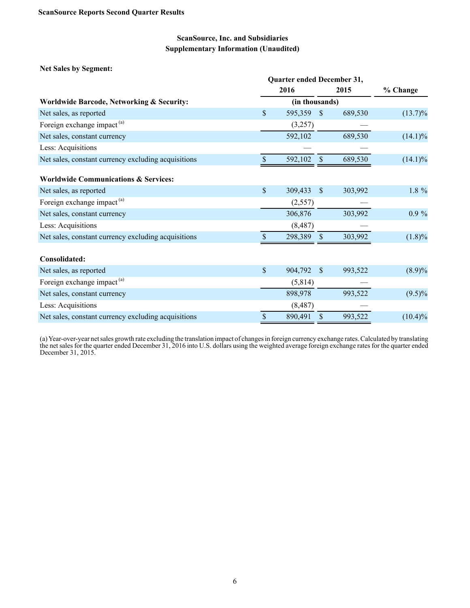**Net Sales by Segment:**

|                                                     |               | Quarter ended December 31, |                           |         |            |  |  |  |  |  |
|-----------------------------------------------------|---------------|----------------------------|---------------------------|---------|------------|--|--|--|--|--|
|                                                     |               | 2016                       |                           | 2015    | % Change   |  |  |  |  |  |
| Worldwide Barcode, Networking & Security:           |               | (in thousands)             |                           |         |            |  |  |  |  |  |
| Net sales, as reported                              | \$            | 595,359                    | $\mathcal{S}$             | 689,530 | $(13.7)\%$ |  |  |  |  |  |
| Foreign exchange impact <sup>(a)</sup>              |               | (3,257)                    |                           |         |            |  |  |  |  |  |
| Net sales, constant currency                        |               | 592,102                    |                           | 689,530 | $(14.1)\%$ |  |  |  |  |  |
| Less: Acquisitions                                  |               |                            |                           |         |            |  |  |  |  |  |
| Net sales, constant currency excluding acquisitions | $\mathbf{\$}$ | 592,102                    | $\boldsymbol{\mathsf{S}}$ | 689,530 | $(14.1)\%$ |  |  |  |  |  |
| <b>Worldwide Communications &amp; Services:</b>     |               |                            |                           |         |            |  |  |  |  |  |
| Net sales, as reported                              | $\mathsf{\$}$ | 309,433                    | $\mathcal{S}$             | 303,992 | 1.8 %      |  |  |  |  |  |
| Foreign exchange impact <sup>(a)</sup>              |               | (2,557)                    |                           |         |            |  |  |  |  |  |
| Net sales, constant currency                        |               | 306,876                    |                           | 303,992 | $0.9 \%$   |  |  |  |  |  |
| Less: Acquisitions                                  |               | (8, 487)                   |                           |         |            |  |  |  |  |  |
| Net sales, constant currency excluding acquisitions |               | 298,389                    | \$                        | 303,992 | $(1.8)\%$  |  |  |  |  |  |
| Consolidated:                                       |               |                            |                           |         |            |  |  |  |  |  |
| Net sales, as reported                              | \$            | 904,792                    | \$                        | 993,522 | $(8.9)\%$  |  |  |  |  |  |
| Foreign exchange impact <sup>(a)</sup>              |               | (5,814)                    |                           |         |            |  |  |  |  |  |
| Net sales, constant currency                        |               | 898,978                    |                           | 993,522 | $(9.5)\%$  |  |  |  |  |  |
| Less: Acquisitions                                  |               | (8, 487)                   |                           |         |            |  |  |  |  |  |
| Net sales, constant currency excluding acquisitions | \$            | 890,491                    | \$                        | 993,522 | $(10.4)\%$ |  |  |  |  |  |

(a) Year-over-year net sales growth rate excluding the translation impact of changes in foreign currency exchange rates. Calculated by translating the net sales for the quarter ended December 31, 2016 into U.S. dollars using the weighted average foreign exchange rates for the quarter ended December 31, 2015.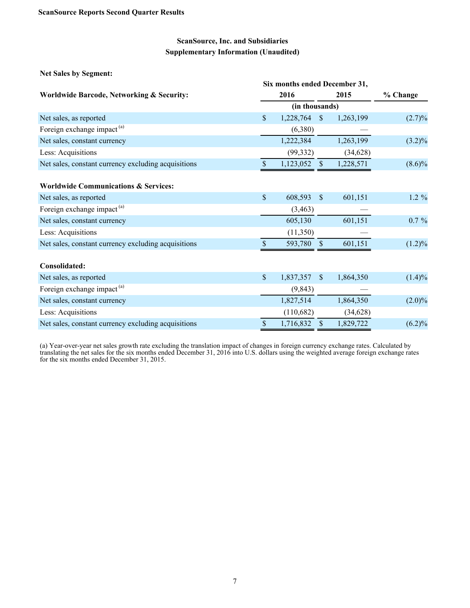| <b>Net Sales by Segment:</b>                        |               |                               |                    |           |           |  |  |
|-----------------------------------------------------|---------------|-------------------------------|--------------------|-----------|-----------|--|--|
|                                                     |               | Six months ended December 31, |                    |           |           |  |  |
| Worldwide Barcode, Networking & Security:           |               | 2016                          |                    | 2015      | % Change  |  |  |
|                                                     |               | (in thousands)                |                    |           |           |  |  |
| Net sales, as reported                              | \$            | 1,228,764                     | $\mathbf{\hat{s}}$ | 1,263,199 | $(2.7)\%$ |  |  |
| Foreign exchange impact <sup>(a)</sup>              |               | (6,380)                       |                    |           |           |  |  |
| Net sales, constant currency                        |               | 1,222,384                     |                    | 1,263,199 | $(3.2)\%$ |  |  |
| Less: Acquisitions                                  |               | (99, 332)                     |                    | (34, 628) |           |  |  |
| Net sales, constant currency excluding acquisitions | \$.           | 1,123,052                     | $\mathcal{S}$      | 1,228,571 | $(8.6)\%$ |  |  |
| <b>Worldwide Communications &amp; Services:</b>     |               |                               |                    |           |           |  |  |
| Net sales, as reported                              | $\mathbb{S}$  | 608,593                       | $\mathbb{S}$       | 601,151   | $1.2 \%$  |  |  |
| Foreign exchange impact <sup>(a)</sup>              |               | (3, 463)                      |                    |           |           |  |  |
| Net sales, constant currency                        |               | 605,130                       |                    | 601,151   | $0.7 \%$  |  |  |
| Less: Acquisitions                                  |               | (11,350)                      |                    |           |           |  |  |
| Net sales, constant currency excluding acquisitions |               | 593,780                       | <sup>S</sup>       | 601,151   | $(1.2)\%$ |  |  |
| Consolidated:                                       |               |                               |                    |           |           |  |  |
| Net sales, as reported                              | $\mathsf{\$}$ | 1,837,357                     | $\mathbf{s}$       | 1,864,350 | $(1.4)\%$ |  |  |
| Foreign exchange impact <sup>(a)</sup>              |               | (9, 843)                      |                    |           |           |  |  |
| Net sales, constant currency                        |               | 1,827,514                     |                    | 1,864,350 | $(2.0)\%$ |  |  |
| Less: Acquisitions                                  |               | (110,682)                     |                    | (34, 628) |           |  |  |
| Net sales, constant currency excluding acquisitions | \$            | 1,716,832                     | \$                 | 1,829,722 | (6.2)%    |  |  |

(a) Year-over-year net sales growth rate excluding the translation impact of changes in foreign currency exchange rates. Calculated by translating the net sales for the six months ended December 31, 2016 into U.S. dollars using the weighted average foreign exchange rates for the six months ended December 31, 2015.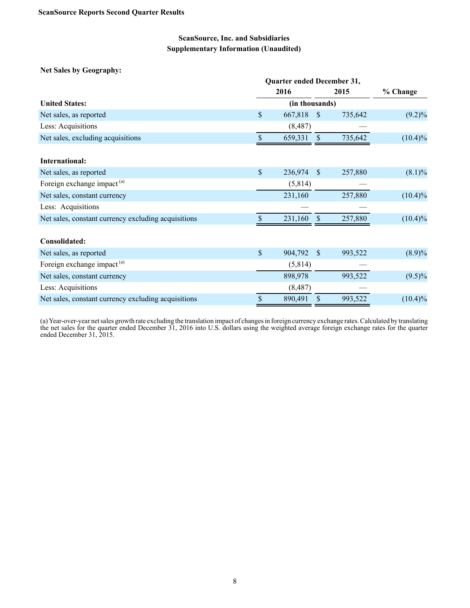**Net Sales by Geography:**

|                                                     |                           | Quarter ended December 31, |              |         |            |  |  |  |  |  |
|-----------------------------------------------------|---------------------------|----------------------------|--------------|---------|------------|--|--|--|--|--|
|                                                     |                           | 2016                       |              | 2015    | % Change   |  |  |  |  |  |
| <b>United States:</b>                               |                           | (in thousands)             |              |         |            |  |  |  |  |  |
| Net sales, as reported                              | \$                        | 667,818                    | <sup>S</sup> | 735,642 | $(9.2)\%$  |  |  |  |  |  |
| Less: Acquisitions                                  |                           | (8, 487)                   |              |         |            |  |  |  |  |  |
| Net sales, excluding acquisitions                   | $\sqrt{\ }$               | 659,331                    | $\sqrt{\ }$  | 735,642 | $(10.4)\%$ |  |  |  |  |  |
| International:                                      |                           |                            |              |         |            |  |  |  |  |  |
| Net sales, as reported                              | $\boldsymbol{\mathsf{S}}$ | 236,974                    | $\mathbf{s}$ | 257,880 | $(8.1)\%$  |  |  |  |  |  |
| Foreign exchange impact <sup>(a)</sup>              |                           | (5,814)                    |              |         |            |  |  |  |  |  |
| Net sales, constant currency                        |                           | 231,160                    |              | 257,880 | $(10.4)\%$ |  |  |  |  |  |
| Less: Acquisitions                                  |                           |                            |              |         |            |  |  |  |  |  |
| Net sales, constant currency excluding acquisitions |                           | 231,160                    | \$           | 257,880 | $(10.4)\%$ |  |  |  |  |  |
| Consolidated:                                       |                           |                            |              |         |            |  |  |  |  |  |
| Net sales, as reported                              | \$                        | 904,792                    | <sup>S</sup> | 993,522 | $(8.9)\%$  |  |  |  |  |  |
| Foreign exchange impact <sup>(a)</sup>              |                           | (5,814)                    |              |         |            |  |  |  |  |  |
| Net sales, constant currency                        |                           | 898,978                    |              | 993,522 | $(9.5)\%$  |  |  |  |  |  |
| Less: Acquisitions                                  |                           | (8, 487)                   |              |         |            |  |  |  |  |  |
| Net sales, constant currency excluding acquisitions | \$                        | 890,491                    | \$           | 993,522 | $(10.4)\%$ |  |  |  |  |  |

(a) Year-over-year net sales growth rate excluding the translation impact of changes in foreign currency exchange rates. Calculated by translating the net sales for the quarter ended December 31, 2016 into U.S. dollars using the weighted average foreign exchange rates for the quarter ended December 31, 2015.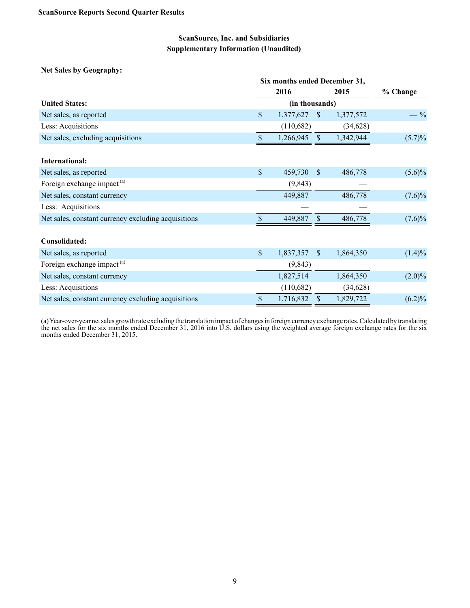**Net Sales by Geography:**

|                                                     | Six months ended December 31, |                |                    |           |           |  |
|-----------------------------------------------------|-------------------------------|----------------|--------------------|-----------|-----------|--|
|                                                     |                               | 2016           |                    | 2015      | % Change  |  |
| <b>United States:</b>                               |                               | (in thousands) |                    |           |           |  |
| Net sales, as reported                              | \$                            | 1,377,627      | <sup>S</sup>       | 1,377,572 | $-9/0$    |  |
| Less: Acquisitions                                  |                               | (110,682)      |                    | (34, 628) |           |  |
| Net sales, excluding acquisitions                   | \$                            | 1,266,945      | $\mathbf{\hat{s}}$ | 1,342,944 | $(5.7)\%$ |  |
| International:                                      |                               |                |                    |           |           |  |
| Net sales, as reported                              | \$                            | 459,730        | <sup>\$</sup>      | 486,778   | $(5.6)\%$ |  |
| Foreign exchange impact <sup>(a)</sup>              |                               | (9, 843)       |                    |           |           |  |
| Net sales, constant currency                        |                               | 449,887        |                    | 486,778   | $(7.6)\%$ |  |
| Less: Acquisitions                                  |                               |                |                    |           |           |  |
| Net sales, constant currency excluding acquisitions | S                             | 449,887        |                    | 486,778   | $(7.6)\%$ |  |
| Consolidated:                                       |                               |                |                    |           |           |  |
| Net sales, as reported                              | \$                            | 1,837,357      | <sup>S</sup>       | 1,864,350 | $(1.4)\%$ |  |
| Foreign exchange impact <sup>(a)</sup>              |                               | (9, 843)       |                    |           |           |  |
| Net sales, constant currency                        |                               | 1,827,514      |                    | 1,864,350 | $(2.0)\%$ |  |
| Less: Acquisitions                                  |                               | (110,682)      |                    | (34, 628) |           |  |
| Net sales, constant currency excluding acquisitions | \$                            | 1,716,832      | $\mathcal{S}$      | 1,829,722 | $(6.2)\%$ |  |

(a) Year-over-year net sales growth rate excluding the translation impact of changes in foreign currency exchange rates. Calculated by translating the net sales for the six months ended December 31, 2016 into U.S. dollars using the weighted average foreign exchange rates for the six months ended December 31, 2015.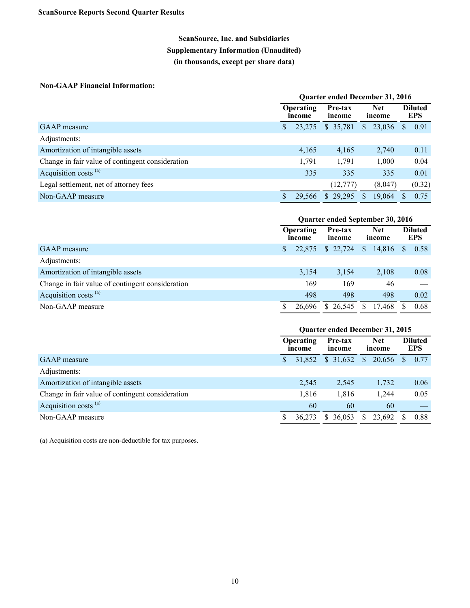# **ScanSource, Inc. and Subsidiaries Supplementary Information (Unaudited) (in thousands, except per share data)**

### **Non-GAAP Financial Information:**

|                                                  | <b>Quarter ended December 31, 2016</b>          |        |                      |              |         |                              |        |  |  |
|--------------------------------------------------|-------------------------------------------------|--------|----------------------|--------------|---------|------------------------------|--------|--|--|
|                                                  | <b>Operating</b><br>Pre-tax<br>income<br>income |        | <b>Net</b><br>income |              |         | <b>Diluted</b><br><b>EPS</b> |        |  |  |
| <b>GAAP</b> measure                              |                                                 | 23,275 | \$35,781             | $\mathbb{S}$ | 23,036  | S                            | 0.91   |  |  |
| Adjustments:                                     |                                                 |        |                      |              |         |                              |        |  |  |
| Amortization of intangible assets                |                                                 | 4,165  | 4,165                |              | 2,740   |                              | 0.11   |  |  |
| Change in fair value of contingent consideration |                                                 | 1,791  | 1,791                |              | 1,000   |                              | 0.04   |  |  |
| Acquisition costs <sup>(a)</sup>                 |                                                 | 335    | 335                  |              | 335     |                              | 0.01   |  |  |
| Legal settlement, net of attorney fees           |                                                 |        | (12, 777)            |              | (8,047) |                              | (0.32) |  |  |
| Non-GAAP measure                                 |                                                 | 29.566 | \$29,295             | S.           | 19.064  |                              | 0.75   |  |  |

|                                                  | Quarter ended September 30, 2016 |        |                   |          |                      |        |               |                              |  |
|--------------------------------------------------|----------------------------------|--------|-------------------|----------|----------------------|--------|---------------|------------------------------|--|
|                                                  | <b>Operating</b><br>income       |        | Pre-tax<br>income |          | <b>Net</b><br>income |        |               | <b>Diluted</b><br><b>EPS</b> |  |
| <b>GAAP</b> measure                              | S.                               | 22,875 |                   | \$22,724 | <sup>S</sup>         | 14,816 | <sup>\$</sup> | 0.58                         |  |
| Adjustments:                                     |                                  |        |                   |          |                      |        |               |                              |  |
| Amortization of intangible assets                |                                  | 3.154  |                   | 3,154    |                      | 2,108  |               | 0.08                         |  |
| Change in fair value of contingent consideration |                                  | 169    |                   | 169      |                      | 46     |               |                              |  |
| Acquisition costs <sup>(a)</sup>                 |                                  | 498    |                   | 498      |                      | 498    |               | 0.02                         |  |
| Non-GAAP measure                                 |                                  | 26.696 |                   | \$26,545 | S                    | 17.468 |               | 0.68                         |  |

|                                                  | <b>Quarter ended December 31, 2015</b> |        |                   |                      |        |              |                              |  |  |
|--------------------------------------------------|----------------------------------------|--------|-------------------|----------------------|--------|--------------|------------------------------|--|--|
|                                                  | <b>Operating</b><br>income             |        | Pre-tax<br>income | <b>Net</b><br>income |        |              | <b>Diluted</b><br><b>EPS</b> |  |  |
| <b>GAAP</b> measure                              |                                        | 31.852 | \$31,632          | S.                   | 20,656 | <sup>8</sup> | 0.77                         |  |  |
| Adjustments:                                     |                                        |        |                   |                      |        |              |                              |  |  |
| Amortization of intangible assets                |                                        | 2,545  | 2,545             |                      | 1,732  |              | 0.06                         |  |  |
| Change in fair value of contingent consideration |                                        | 1,816  | 1,816             |                      | 1,244  |              | 0.05                         |  |  |
| Acquisition costs <sup>(a)</sup>                 |                                        | 60     | 60                |                      | 60     |              |                              |  |  |
| Non-GAAP measure                                 |                                        | 36.273 | \$36.053          | S.                   | 23,692 |              | 0.88                         |  |  |

(a) Acquisition costs are non-deductible for tax purposes.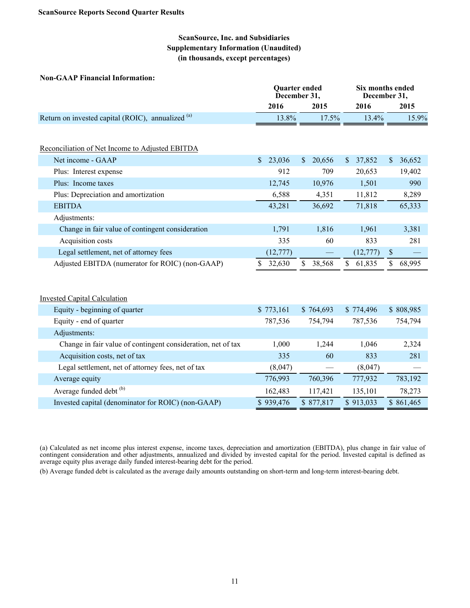### **ScanSource, Inc. and Subsidiaries Supplementary Information (Unaudited) (in thousands, except percentages)**

#### **Non-GAAP Financial Information:**

|                                                              |              | <b>Quarter</b> ended<br>December 31, | Six months ended<br>December 31, |                         |
|--------------------------------------------------------------|--------------|--------------------------------------|----------------------------------|-------------------------|
|                                                              | 2016         | 2015                                 | 2016                             | 2015                    |
| Return on invested capital (ROIC), annualized (a)            | 13.8%        | 17.5%                                | 13.4%                            | 15.9%                   |
|                                                              |              |                                      |                                  |                         |
| Reconciliation of Net Income to Adjusted EBITDA              |              |                                      |                                  |                         |
| Net income - GAAP                                            | 23,036<br>S. | $\mathbb{S}$<br>20,656               | 37,852<br>$\mathbb{S}$           | 36,652<br>$\mathsf{\$}$ |
| Plus: Interest expense                                       | 912          | 709                                  | 20,653                           | 19,402                  |
| Plus: Income taxes                                           | 12,745       | 10,976                               | 1,501                            | 990                     |
| Plus: Depreciation and amortization                          | 6,588        | 4,351                                | 11,812                           | 8,289                   |
| <b>EBITDA</b>                                                | 43,281       | 36,692                               | 71,818                           | 65,333                  |
| Adjustments:                                                 |              |                                      |                                  |                         |
| Change in fair value of contingent consideration             | 1,791        | 1,816                                | 1,961                            | 3,381                   |
| Acquisition costs                                            | 335          | 60                                   | 833                              | 281                     |
| Legal settlement, net of attorney fees                       | (12, 777)    |                                      | (12, 777)                        | $\sqrt{\ }$             |
| Adjusted EBITDA (numerator for ROIC) (non-GAAP)              | \$<br>32,630 | $\mathbb{S}$<br>38,568               | \$<br>61,835                     | 68,995<br>\$            |
|                                                              |              |                                      |                                  |                         |
| <b>Invested Capital Calculation</b>                          |              |                                      |                                  |                         |
| Equity - beginning of quarter                                | \$773,161    | \$764,693                            | \$774,496                        | \$808,985               |
| Equity - end of quarter                                      | 787,536      | 754,794                              | 787,536                          | 754,794                 |
| Adjustments:                                                 |              |                                      |                                  |                         |
| Change in fair value of contingent consideration, net of tax | 1,000        | 1,244                                | 1,046                            | 2,324                   |
| Acquisition costs, net of tax                                | 335          | 60                                   | 833                              | 281                     |
| Legal settlement, net of attorney fees, net of tax           | (8,047)      |                                      | (8,047)                          |                         |
| Average equity                                               | 776,993      | 760,396                              | 777,932                          | 783,192                 |
| Average funded debt <sup>(b)</sup>                           | 162,483      | 117,421                              | 135,101                          | 78,273                  |
| Invested capital (denominator for ROIC) (non-GAAP)           | \$939,476    | \$877,817                            | \$913,033                        | \$861,465               |

(a) Calculated as net income plus interest expense, income taxes, depreciation and amortization (EBITDA), plus change in fair value of contingent consideration and other adjustments, annualized and divided by invested capital for the period. Invested capital is defined as average equity plus average daily funded interest-bearing debt for the period.

(b) Average funded debt is calculated as the average daily amounts outstanding on short-term and long-term interest-bearing debt.